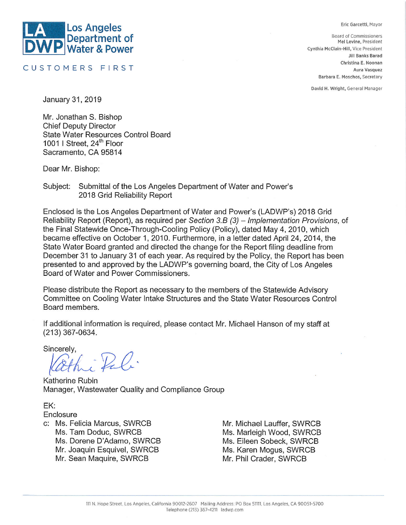#### Eric Garcetti, Mayor



CUSTOMERS FIRST

**Board of Commissioners** Mel Levine, President Cynthia McClain-Hill, Vice President Jill Banks Barad Christina E. Noonan Aura Vasquez Barbara E. Moschos, Secretary

David H. Wright, General Manager

January 31, 2019

Mr. Jonathan S. Bishop **Chief Deputy Director State Water Resources Control Board** 1001 | Street, 24<sup>th</sup> Floor Sacramento, CA 95814

Dear Mr. Bishop:

Subject: Submittal of the Los Angeles Department of Water and Power's 2018 Grid Reliability Report

Enclosed is the Los Angeles Department of Water and Power's (LADWP's) 2018 Grid Reliability Report (Report), as required per Section 3.B (3) - Implementation Provisions, of the Final Statewide Once-Through-Cooling Policy (Policy), dated May 4, 2010, which became effective on October 1, 2010. Furthermore, in a letter dated April 24, 2014, the State Water Board granted and directed the change for the Report filing deadline from December 31 to January 31 of each year. As required by the Policy, the Report has been presented to and approved by the LADWP's governing board, the City of Los Angeles Board of Water and Power Commissioners.

Please distribute the Report as necessary to the members of the Statewide Advisory Committee on Cooling Water Intake Structures and the State Water Resources Control Board members.

If additional information is required, please contact Mr. Michael Hanson of my staff at  $(213)$  367-0634.

Sincerely,

Katherine Rubin Manager, Wastewater Quality and Compliance Group

EK:

Enclosure

c: Ms. Felicia Marcus, SWRCB Ms. Tam Doduc, SWRCB Ms. Dorene D'Adamo, SWRCB Mr. Joaquin Esquivel, SWRCB Mr. Sean Maquire, SWRCB

Mr. Michael Lauffer, SWRCB Ms. Marleigh Wood, SWRCB Ms. Eileen Sobeck, SWRCB Ms. Karen Mogus, SWRCB Mr. Phil Crader, SWRCB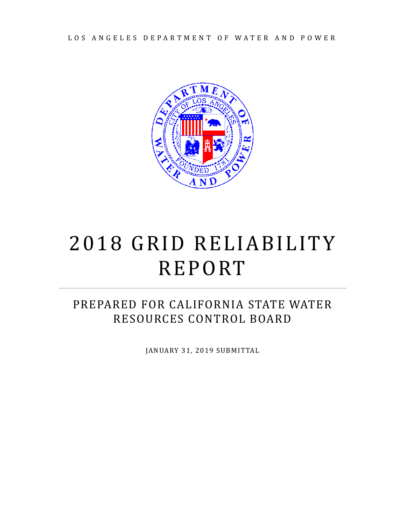LOS ANGELES DEPARTMENT OF WATER AND POWER



# 2018 GRID RELIABILITY REPORT

## PREPARED FOR CALIFORNIA STATE WATER RESOURCES CONTROL BOARD

JANUARY 31, 2019 SUBMITTAL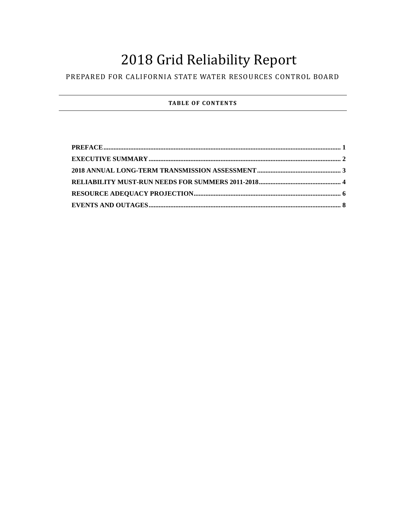## 2018 Grid Reliability Report

### PREPARED FOR CALIFORNIA STATE WATER RESOURCES CONTROL BOARD

#### **TABLE OF CONTENTS**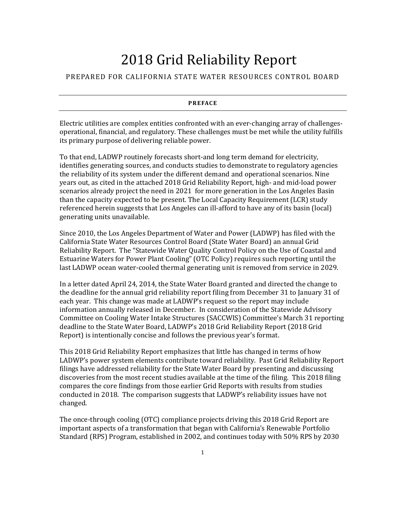## 2018 Grid Reliability Report

#### <span id="page-3-0"></span>PREPARED FOR CALIFORNIA STATE WATER RESOURCES CONTROL BOARD

#### **PREFACE**

Electric utilities are complex entities confronted with an ever-changing array of challengesoperational, financial, and regulatory. These challenges must be met while the utility fulfills its primary purpose of delivering reliable power.

To that end, LADWP routinely forecasts short-and long term demand for electricity, identifies generating sources, and conducts studies to demonstrate to regulatory agencies the reliability of its system under the different demand and operational scenarios. Nine years out, as cited in the attached 2018 Grid Reliability Report, high- and mid-load power scenarios already project the need in 2021 for more generation in the Los Angeles Basin than the capacity expected to be present. The Local Capacity Requirement (LCR) study referenced herein suggests that Los Angeles can ill-afford to have any of its basin (local) generating units unavailable.

Since 2010, the Los Angeles Department of Water and Power (LADWP) has filed with the California State Water Resources Control Board (State Water Board) an annual Grid Reliability Report. The "Statewide Water Quality Control Policy on the Use of Coastal and Estuarine Waters for Power Plant Cooling" (OTC Policy) requires such reporting until the last LADWP ocean water-cooled thermal generating unit is removed from service in 2029.

In a letter dated April 24, 2014, the State Water Board granted and directed the change to the deadline for the annual grid reliability report filing from December 31 to January 31 of each year. This change was made at LADWP's request so the report may include information annually released in December. In consideration of the Statewide Advisory Committee on Cooling Water Intake Structures (SACCWIS) Committee's March 31 reporting deadline to the State Water Board, LADWP's 2018 Grid Reliability Report (2018 Grid Report) is intentionally concise and follows the previous year's format.

This 2018 Grid Reliability Report emphasizes that little has changed in terms of how LADWP's power system elements contribute toward reliability. Past Grid Reliability Report filings have addressed reliability for the State Water Board by presenting and discussing discoveries from the most recent studies available at the time of the filing. This 2018 filing compares the core findings from those earlier Grid Reports with results from studies conducted in 2018. The comparison suggests that LADWP's reliability issues have not changed.

The once-through cooling (OTC) compliance projects driving this 2018 Grid Report are important aspects of a transformation that began with California's Renewable Portfolio Standard (RPS) Program, established in 2002, and continues today with 50% RPS by 2030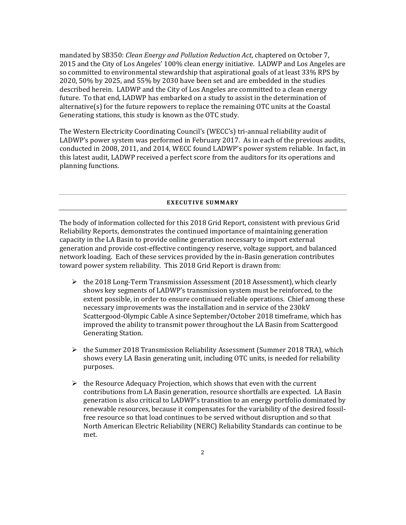mandated by SB350: *Clean Energy and Pollution Reduction Act*, chaptered on October 7, 2015 and the City of Los Angeles' 100% clean energy initiative. LADWP and Los Angeles are so committed to environmental stewardship that aspirational goals of at least 33% RPS by 2020, 50% by 2025, and 55% by 2030 have been set and are embedded in the studies described herein. LADWP and the City of Los Angeles are committed to a clean energy future. To that end, LADWP has embarked on a study to assist in the determination of alternative(s) for the future repowers to replace the remaining OTC units at the Coastal Generating stations, this study is known as the OTC study.

The Western Electricity Coordinating Council's (WECC's) tri-annual reliability audit of LADWP's power system was performed in February 2017. As in each of the previous audits, conducted in 2008, 2011, and 2014, WECC found LADWP's power system reliable. In fact, in this latest audit, LADWP received a perfect score from the auditors for its operations and planning functions.

#### **EXECUTIVE SUMMARY**

<span id="page-4-0"></span>The body of information collected for this 2018 Grid Report, consistent with previous Grid Reliability Reports, demonstrates the continued importance of maintaining generation capacity in the LA Basin to provide online generation necessary to import external generation and provide cost-effective contingency reserve, voltage support, and balanced network loading. Each of these services provided by the in-Basin generation contributes toward power system reliability. This 2018 Grid Report is drawn from:

- $\triangleright$  the 2018 Long-Term Transmission Assessment (2018 Assessment), which clearly shows key segments of LADWP's transmission system must be reinforced, to the extent possible, in order to ensure continued reliable operations. Chief among these necessary improvements was the installation and in service of the 230kV Scattergood-Olympic Cable A since September/October 2018 timeframe, which has improved the ability to transmit power throughout the LA Basin from Scattergood Generating Station.
- $\triangleright$  the Summer 2018 Transmission Reliability Assessment (Summer 2018 TRA), which shows every LA Basin generating unit, including OTC units, is needed for reliability purposes.
- $\triangleright$  the Resource Adequacy Projection, which shows that even with the current contributions from LA Basin generation, resource shortfalls are expected. LA Basin generation is also critical to LADWP's transition to an energy portfolio dominated by renewable resources, because it compensates for the variability of the desired fossilfree resource so that load continues to be served without disruption and so that North American Electric Reliability (NERC) Reliability Standards can continue to be met.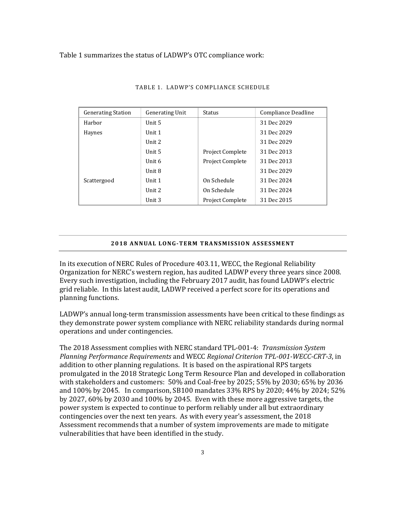#### Table 1 summarizes the status of LADWP's OTC compliance work:

| <b>Generating Station</b> | <b>Generating Unit</b> | Status                  | Compliance Deadline |
|---------------------------|------------------------|-------------------------|---------------------|
| Harbor                    | Unit 5                 |                         | 31 Dec 2029         |
| Haynes                    | Unit 1                 |                         | 31 Dec 2029         |
|                           | Unit 2                 |                         | 31 Dec 2029         |
|                           | Unit 5                 | <b>Project Complete</b> | 31 Dec 2013         |
|                           | Unit 6                 | <b>Project Complete</b> | 31 Dec 2013         |
|                           | Unit 8                 |                         | 31 Dec 2029         |
| Scattergood               | Unit 1                 | On Schedule             | 31 Dec 2024         |
|                           | Unit 2                 | On Schedule             | 31 Dec 2024         |
|                           | Unit 3                 | <b>Project Complete</b> | 31 Dec 2015         |

#### TABLE 1. LADWP'S COMPLIANCE SCHEDULE

#### **2018 ANNUAL LONG-TERM TRANSMISSION ASSESSMENT**

<span id="page-5-0"></span>In its execution of NERC Rules of Procedure 403.11, WECC, the Regional Reliability Organization for NERC's western region, has audited LADWP every three years since 2008. Every such investigation, including the February 2017 audit, has found LADWP's electric grid reliable. In this latest audit, LADWP received a perfect score for its operations and planning functions.

LADWP's annual long-term transmission assessments have been critical to these findings as they demonstrate power system compliance with NERC reliability standards during normal operations and under contingencies.

The 2018 Assessment complies with NERC standard TPL-001-4: *Transmission System Planning Performance Requirements* and WECC *Regional Criterion TPL-001-WECC-CRT-3*, in addition to other planning regulations. It is based on the aspirational RPS targets promulgated in the 2018 Strategic Long Term Resource Plan and developed in collaboration with stakeholders and customers: 50% and Coal-free by 2025; 55% by 2030; 65% by 2036 and 100% by 2045. In comparison, SB100 mandates 33% RPS by 2020; 44% by 2024; 52% by 2027, 60% by 2030 and 100% by 2045. Even with these more aggressive targets, the power system is expected to continue to perform reliably under all but extraordinary contingencies over the next ten years. As with every year's assessment, the 2018 Assessment recommends that a number of system improvements are made to mitigate vulnerabilities that have been identified in the study.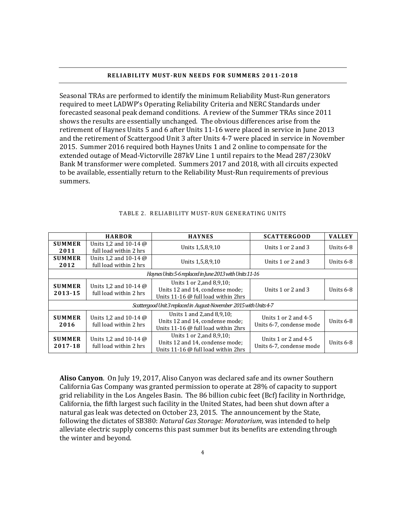#### **RELIABILITY MUST-RUN NEEDS FOR SUMMERS 2011-2018**

<span id="page-6-0"></span>Seasonal TRAs are performed to identify the minimum Reliability Must-Run generators required to meet LADWP's Operating Reliability Criteria and NERC Standards under forecasted seasonal peak demand conditions. A review of the Summer TRAs since 2011 shows the results are essentially unchanged. The obvious differences arise from the retirement of Haynes Units 5 and 6 after Units 11-16 were placed in service in June 2013 and the retirement of Scattergood Unit 3 after Units 4-7 were placed in service in November 2015. Summer 2016 required both Haynes Units 1 and 2 online to compensate for the extended outage of Mead-Victorville 287kV Line 1 until repairs to the Mead 287/230kV Bank M transformer were completed. Summers 2017 and 2018, with all circuits expected to be available, essentially return to the Reliability Must-Run requirements of previous summers.

|                                                                    | <b>HARBOR</b>                                          | <b>HAYNES</b>                                                                                                | <b>SCATTERGOOD</b>                                 | <b>VALLEY</b> |  |  |  |
|--------------------------------------------------------------------|--------------------------------------------------------|--------------------------------------------------------------------------------------------------------------|----------------------------------------------------|---------------|--|--|--|
| <b>SUMMER</b><br>2011                                              | Units 1,2 and 10-14 @<br>full load within 2 hrs        | Units 1,5,8,9,10                                                                                             | Units $1$ or $2$ and $3$                           | Units $6-8$   |  |  |  |
| <b>SUMMER</b><br>2012                                              | Units 1,2 and 10-14 @<br>full load within 2 hrs        | Units 1,5,8,9,10                                                                                             | Units $1$ or $2$ and $3$                           | Units $6-8$   |  |  |  |
| Haynes Units 5-6 replaced in June 2013 with Units 11-16            |                                                        |                                                                                                              |                                                    |               |  |  |  |
| <b>SUMMER</b><br>2013-15                                           | Units 1.2 and 10-14 $\omega$<br>full load within 2 hrs | Units 1 or 2, and 8, 9, 10;<br>Units 12 and 14, condense mode;<br>Units 11-16 $\omega$ full load within 2hrs | Units $1$ or $2$ and $3$                           | Units $6-8$   |  |  |  |
| Scattergood Unit 3 replaced in August-November 2015 with Units 4-7 |                                                        |                                                                                                              |                                                    |               |  |  |  |
| <b>SUMMER</b><br>2016                                              | Units 1.2 and 10-14 $\omega$<br>full load within 2 hrs | Units 1 and 2, and 8, 9, 10;<br>Units 12 and 14, condense mode;<br>Units 11-16 @ full load within 2hrs       | Units 1 or 2 and $4-5$<br>Units 6-7, condense mode | Units $6-8$   |  |  |  |
| <b>SUMMER</b><br>2017-18                                           | Units 1.2 and 10-14 $\omega$<br>full load within 2 hrs | Units 1 or 2, and 8, 9, 10;<br>Units 12 and 14, condense mode;<br>Units 11-16 $\omega$ full load within 2hrs | Units 1 or 2 and $4-5$<br>Units 6-7, condense mode | Units 6-8     |  |  |  |

#### TABLE 2. RELIABILITY MUST-RUN GENERATING UNITS

**Aliso Canyon**. On July 19, 2017, Aliso Canyon was declared safe and its owner Southern California Gas Company was granted permission to operate at 28% of capacity to support grid reliability in the Los Angeles Basin. The 86 billion cubic feet (Bcf) facility in Northridge, California, the fifth largest such facility in the United States, had been shut down after a natural gas leak was detected on October 23, 2015. The announcement by the State, following the dictates of SB380: *Natural Gas Storage: Moratorium*, was intended to help alleviate electric supply concerns this past summer but its benefits are extending through the winter and beyond.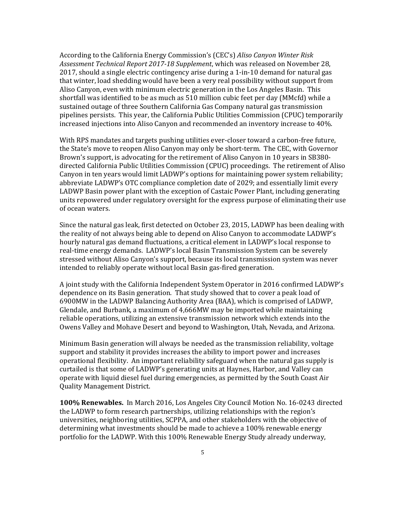According to the California Energy Commission's (CEC's) *Aliso Canyon Winter Risk Assessment Technical Report 2017-18 Supplement*, which was released on November 28, 2017, should a single electric contingency arise during a 1-in-10 demand for natural gas that winter, load shedding would have been a very real possibility without support from Aliso Canyon, even with minimum electric generation in the Los Angeles Basin. This shortfall was identified to be as much as 510 million cubic feet per day (MMcfd) while a sustained outage of three Southern California Gas Company natural gas transmission pipelines persists. This year, the California Public Utilities Commission (CPUC) temporarily increased injections into Aliso Canyon and recommended an inventory increase to 40%.

With RPS mandates and targets pushing utilities ever-closer toward a carbon-free future, the State's move to reopen Aliso Canyon may only be short-term. The CEC, with Governor Brown's support, is advocating for the retirement of Aliso Canyon in 10 years in SB380 directed California Public Utilities Commission (CPUC) proceedings. The retirement of Aliso Canyon in ten years would limit LADWP's options for maintaining power system reliability; abbreviate LADWP's OTC compliance completion date of 2029; and essentially limit every LADWP Basin power plant with the exception of Castaic Power Plant, including generating units repowered under regulatory oversight for the express purpose of eliminating their use of ocean waters.

Since the natural gas leak, first detected on October 23, 2015, LADWP has been dealing with the reality of not always being able to depend on Aliso Canyon to accommodate LADWP's hourly natural gas demand fluctuations, a critical element in LADWP's local response to real-time energy demands. LADWP's local Basin Transmission System can be severely stressed without Aliso Canyon's support, because its local transmission system was never intended to reliably operate without local Basin gas-fired generation.

A joint study with the California Independent System Operator in 2016 confirmed LADWP's dependence on its Basin generation. That study showed that to cover a peak load of 6900MW in the LADWP Balancing Authority Area (BAA), which is comprised of LADWP, Glendale, and Burbank, a maximum of 4,666MW may be imported while maintaining reliable operations, utilizing an extensive transmission network which extends into the Owens Valley and Mohave Desert and beyond to Washington, Utah, Nevada, and Arizona.

Minimum Basin generation will always be needed as the transmission reliability, voltage support and stability it provides increases the ability to import power and increases operational flexibility. An important reliability safeguard when the natural gas supply is curtailed is that some of LADWP's generating units at Haynes, Harbor, and Valley can operate with liquid diesel fuel during emergencies, as permitted by the South Coast Air Quality Management District.

**100% Renewables.** In March 2016, Los Angeles City Council Motion No. 16-0243 directed the LADWP to form research partnerships, utilizing relationships with the region's universities, neighboring utilities, SCPPA, and other stakeholders with the objective of determining what investments should be made to achieve a 100% renewable energy portfolio for the LADWP. With this 100% Renewable Energy Study already underway,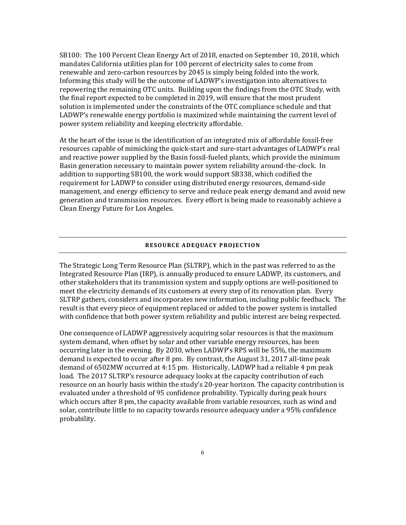SB100: The 100 Percent Clean Energy Act of 2018, enacted on September 10, 2018, which mandates California utilities plan for 100 percent of electricity sales to come from renewable and zero-carbon resources by 2045 is simply being folded into the work. Informing this study will be the outcome of LADWP's investigation into alternatives to repowering the remaining OTC units. Building upon the findings from the OTC Study, with the final report expected to be completed in 2019, will ensure that the most prudent solution is implemented under the constraints of the OTC compliance schedule and that LADWP's renewable energy portfolio is maximized while maintaining the current level of power system reliability and keeping electricity affordable.

At the heart of the issue is the identification of an integrated mix of affordable fossil-free resources capable of mimicking the quick-start and sure-start advantages of LADWP's real and reactive power supplied by the Basin fossil-fueled plants, which provide the minimum Basin generation necessary to maintain power system reliability around-the-clock. In addition to supporting SB100, the work would support SB338, which codified the requirement for LADWP to consider using distributed energy resources, demand-side management, and energy efficiency to serve and reduce peak energy demand and avoid new generation and transmission resources. Every effort is being made to reasonably achieve a Clean Energy Future for Los Angeles.

#### **RESOURCE ADEQUACY PROJECTION**

<span id="page-8-0"></span>The Strategic Long Term Resource Plan (SLTRP), which in the past was referred to as the Integrated Resource Plan (IRP), is annually produced to ensure LADWP, its customers, and other stakeholders that its transmission system and supply options are well-positioned to meet the electricity demands of its customers at every step of its renovation plan. Every SLTRP gathers, considers and incorporates new information, including public feedback. The result is that every piece of equipment replaced or added to the power system is installed with confidence that both power system reliability and public interest are being respected.

One consequence of LADWP aggressively acquiring solar resources is that the maximum system demand, when offset by solar and other variable energy resources, has been occurring later in the evening. By 2030, when LADWP's RPS will be 55%, the maximum demand is expected to occur after 8 pm. By contrast, the August 31, 2017 all-time peak demand of 6502MW occurred at 4:15 pm. Historically, LADWP had a reliable 4 pm peak load. The 2017 SLTRP's resource adequacy looks at the capacity contribution of each resource on an hourly basis within the study's 20-year horizon. The capacity contribution is evaluated under a threshold of 95 confidence probability. Typically during peak hours which occurs after 8 pm, the capacity available from variable resources, such as wind and solar, contribute little to no capacity towards resource adequacy under a 95% confidence probability.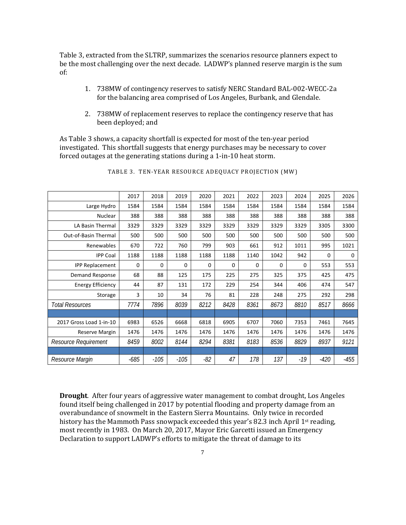Table 3, extracted from the SLTRP, summarizes the scenarios resource planners expect to be the most challenging over the next decade. LADWP's planned reserve margin is the sum of:

- 1. 738MW of contingency reserves to satisfy NERC Standard BAL-002-WECC-2a for the balancing area comprised of Los Angeles, Burbank, and Glendale.
- 2. 738MW of replacement reserves to replace the contingency reserve that has been deployed; and

As Table 3 shows, a capacity shortfall is expected for most of the ten-year period investigated. This shortfall suggests that energy purchases may be necessary to cover forced outages at the generating stations during a 1-in-10 heat storm.

|                             | 2017   | 2018     | 2019     | 2020  | 2021 | 2022 | 2023     | 2024 | 2025   | 2026   |
|-----------------------------|--------|----------|----------|-------|------|------|----------|------|--------|--------|
| Large Hydro                 | 1584   | 1584     | 1584     | 1584  | 1584 | 1584 | 1584     | 1584 | 1584   | 1584   |
| <b>Nuclear</b>              | 388    | 388      | 388      | 388   | 388  | 388  | 388      | 388  | 388    | 388    |
| LA Basin Thermal            | 3329   | 3329     | 3329     | 3329  | 3329 | 3329 | 3329     | 3329 | 3305   | 3300   |
| Out-of-Basin Thermal        | 500    | 500      | 500      | 500   | 500  | 500  | 500      | 500  | 500    | 500    |
| Renewables                  | 670    | 722      | 760      | 799   | 903  | 661  | 912      | 1011 | 995    | 1021   |
| <b>IPP Coal</b>             | 1188   | 1188     | 1188     | 1188  | 1188 | 1140 | 1042     | 942  | 0      | 0      |
| <b>IPP Replacement</b>      | 0      | $\Omega$ | $\Omega$ | 0     | 0    | 0    | $\Omega$ | 0    | 553    | 553    |
| Demand Response             | 68     | 88       | 125      | 175   | 225  | 275  | 325      | 375  | 425    | 475    |
| <b>Energy Efficiency</b>    | 44     | 87       | 131      | 172   | 229  | 254  | 344      | 406  | 474    | 547    |
| Storage                     | 3      | 10       | 34       | 76    | 81   | 228  | 248      | 275  | 292    | 298    |
| <b>Total Resources</b>      | 7774   | 7896     | 8039     | 8212  | 8428 | 8361 | 8673     | 8810 | 8517   | 8666   |
|                             |        |          |          |       |      |      |          |      |        |        |
| 2017 Gross Load 1-in-10     | 6983   | 6526     | 6668     | 6818  | 6905 | 6707 | 7060     | 7353 | 7461   | 7645   |
| Reserve Margin              | 1476   | 1476     | 1476     | 1476  | 1476 | 1476 | 1476     | 1476 | 1476   | 1476   |
| <b>Resource Requirement</b> | 8459   | 8002     | 8144     | 8294  | 8381 | 8183 | 8536     | 8829 | 8937   | 9121   |
|                             |        |          |          |       |      |      |          |      |        |        |
| Resource Margin             | $-685$ | $-105$   | $-105$   | $-82$ | 47   | 178  | 137      | -19  | $-420$ | $-455$ |

|  | TABLE 3. TEN-YEAR RESOURCE ADEQUACY PROJECTION (MW) |
|--|-----------------------------------------------------|
|--|-----------------------------------------------------|

**Drought**. After four years of aggressive water management to combat drought, Los Angeles found itself being challenged in 2017 by potential flooding and property damage from an overabundance of snowmelt in the Eastern Sierra Mountains. Only twice in recorded history has the Mammoth Pass snowpack exceeded this year's 82.3 inch April 1<sup>st</sup> reading, most recently in 1983. On March 20, 2017, Mayor Eric Garcetti issued an Emergency Declaration to support LADWP's efforts to mitigate the threat of damage to its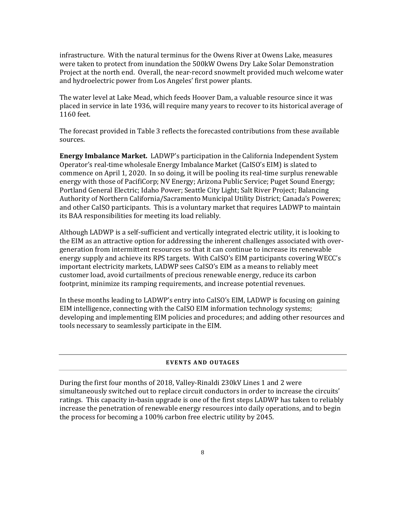infrastructure. With the natural terminus for the Owens River at Owens Lake, measures were taken to protect from inundation the 500kW Owens Dry Lake Solar Demonstration Project at the north end. Overall, the near-record snowmelt provided much welcome water and hydroelectric power from Los Angeles' first power plants.

The water level at Lake Mead, which feeds Hoover Dam, a valuable resource since it was placed in service in late 1936, will require many years to recover to its historical average of 1160 feet.

The forecast provided in Table 3 reflects the forecasted contributions from these available sources.

**Energy Imbalance Market.** LADWP's participation in the California Independent System Operator's real-time wholesale Energy Imbalance Market (CaISO's EIM) is slated to commence on April 1, 2020. In so doing, it will be pooling its real-time surplus renewable energy with those of PacifiCorp; NV Energy; Arizona Public Service; Puget Sound Energy; Portland General Electric; Idaho Power; Seattle City Light; Salt River Project; Balancing Authority of Northern California/Sacramento Municipal Utility District; Canada's Powerex; and other CaISO participants. This is a voluntary market that requires LADWP to maintain its BAA responsibilities for meeting its load reliably.

Although LADWP is a self-sufficient and vertically integrated electric utility, it is looking to the EIM as an attractive option for addressing the inherent challenges associated with overgeneration from intermittent resources so that it can continue to increase its renewable energy supply and achieve its RPS targets. With CaISO's EIM participants covering WECC's important electricity markets, LADWP sees CaISO's EIM as a means to reliably meet customer load, avoid curtailments of precious renewable energy, reduce its carbon footprint, minimize its ramping requirements, and increase potential revenues.

In these months leading to LADWP's entry into CaISO's EIM, LADWP is focusing on gaining EIM intelligence, connecting with the CaISO EIM information technology systems; developing and implementing EIM policies and procedures; and adding other resources and tools necessary to seamlessly participate in the EIM.

#### **EVENTS AND OUTAGES**

<span id="page-10-0"></span>During the first four months of 2018, Valley-Rinaldi 230kV Lines 1 and 2 were simultaneously switched out to replace circuit conductors in order to increase the circuits' ratings. This capacity in-basin upgrade is one of the first steps LADWP has taken to reliably increase the penetration of renewable energy resources into daily operations, and to begin the process for becoming a 100% carbon free electric utility by 2045.